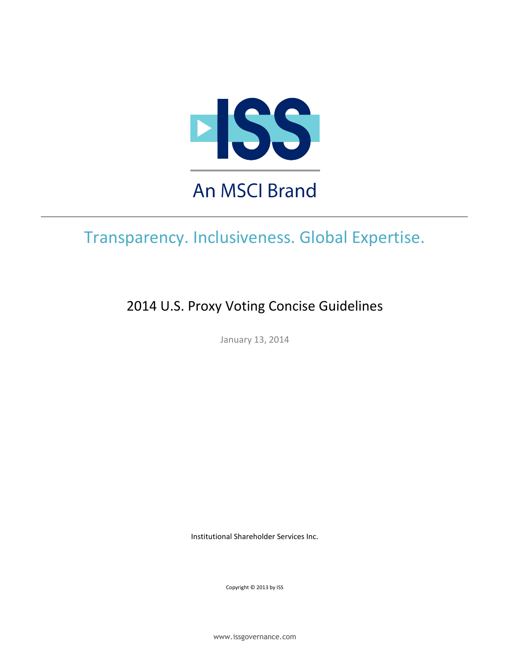

# Transparency. Inclusiveness. Global Expertise.

2014 U.S. Proxy Voting Concise Guidelines

January 13, 2014

Institutional Shareholder Services Inc.

Copyright © 2013 by ISS

www.issgovernance.com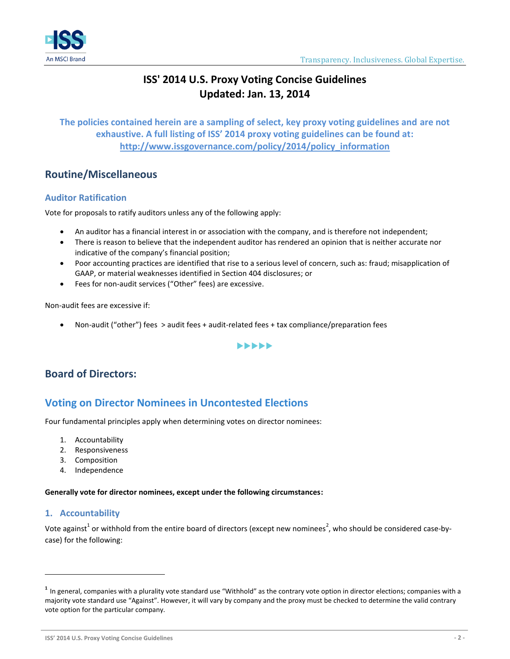

## **ISS' 2014 U.S. Proxy Voting Concise Guidelines Updated: Jan. 13, 2014**

**The policies contained herein are a sampling of select, key proxy voting guidelines and are not exhaustive. A full listing of ISS' 2014 proxy voting guidelines can be found at: http://www.issgovernance.com/policy/2014/policy\_information**

### **Routine/Miscellaneous**

### <span id="page-1-0"></span>**Auditor Ratification**

Vote for proposals to ratify auditors unless any of the following apply:

- An auditor has a financial interest in or association with the company, and is therefore not independent;
- There is reason to believe that the independent auditor has rendered an opinion that is neither accurate nor indicative of the company's financial position;
- Poor accounting practices are identified that rise to a serious level of concern, such as: fraud; misapplication of GAAP, or material weaknesses identified in Section 404 disclosures; or
- Fees for non-audit services ("Other" fees) are excessive.

Non-audit fees are excessive if:

Non-audit ("other") fees > audit fees + audit-related fees + tax compliance/preparation fees

#### $\blacktriangleright\blacktriangleright\blacktriangleright\blacktriangleright\blacktriangleright$

### **Board of Directors:**

### **Voting on Director Nominees in Uncontested Elections**

Four fundamental principles apply when determining votes on director nominees:

- 1. Accountability
- 2. Responsiveness
- 3. Composition
- 4. Independence

**Generally vote for director nominees, except under the following circumstances:**

### **1. Accountability**

 $\overline{a}$ 

Vote against<sup>1</sup> or withhold from the entire board of directors (except new nominees<sup>2</sup>, who should be considered case-bycase) for the following:

**ISS' 2014 U.S. Proxy Voting Concise Guidelines - 2 -**

**<sup>1</sup>** In general, companies with a plurality vote standard use "Withhold" as the contrary vote option in director elections; companies with a majority vote standard use "Against". However, it will vary by company and the proxy must be checked to determine the valid contrary vote option for the particular company.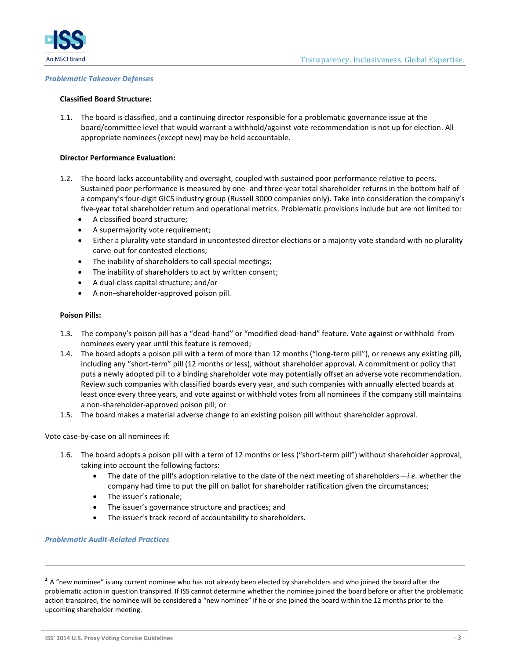

#### *Problematic Takeover Defenses*

#### **Classified Board Structure:**

1.1. The board is classified, and a continuing director responsible for a problematic governance issue at the board/committee level that would warrant a withhold/against vote recommendation is not up for election. All appropriate nominees (except new) may be held accountable.

#### **Director Performance Evaluation:**

- 1.2. The board lacks accountability and oversight, coupled with sustained poor performance relative to peers. Sustained poor performance is measured by one- and three-year total shareholder returns in the bottom half of a company's four-digit GICS industry group (Russell 3000 companies only). Take into consideration the company's five-year total shareholder return and operational metrics. Problematic provisions include but are not limited to:
	- A classified board structure;
	- A supermajority vote requirement;
	- Either a plurality vote standard in uncontested director elections or a majority vote standard with no plurality carve-out for contested elections;
	- The inability of shareholders to call special meetings;
	- The inability of shareholders to act by written consent;
	- A dual-class capital structure; and/or
	- A non–shareholder-approved poison pill.

#### **Poison Pills:**

- 1.3. The company's poison pill has a "dead-hand" or "modified dead-hand" feature. Vote against or withhold from nominees every year until this feature is removed;
- 1.4. The board adopts a poison pill with a term of more than 12 months ("long-term pill"), or renews any existing pill, including any "short-term" pill (12 months or less), without shareholder approval. A commitment or policy that puts a newly adopted pill to a binding shareholder vote may potentially offset an adverse vote recommendation. Review such companies with classified boards every year, and such companies with annually elected boards at least once every three years, and vote against or withhold votes from all nominees if the company still maintains a non-shareholder-approved poison pill; or
- 1.5. The board makes a material adverse change to an existing poison pill without shareholder approval.

#### Vote case-by-case on all nominees if:

- 1.6. The board adopts a poison pill with a term of 12 months or less ("short-term pill") without shareholder approval, taking into account the following factors:
	- The date of the pill's adoption relative to the date of the next meeting of shareholders—*i.e.* whether the company had time to put the pill on ballot for shareholder ratification given the circumstances;
	- The issuer's rationale;
	- The issuer's governance structure and practices; and
	- The issuer's track record of accountability to shareholders.

#### *Problematic Audit-Related Practices*

<sup>&</sup>lt;sup>2</sup> A "new nominee" is any current nominee who has not already been elected by shareholders and who joined the board after the problematic action in question transpired. If ISS cannot determine whether the nominee joined the board before or after the problematic action transpired, the nominee will be considered a "new nominee" if he or she joined the board within the 12 months prior to the upcoming shareholder meeting.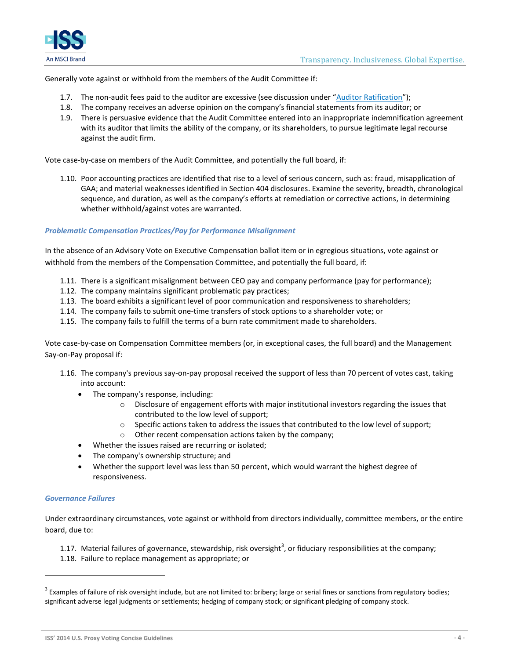

Generally vote against or withhold from the members of the Audit Committee if:

- 1.7. The non-audit fees paid to the auditor are excessive (see discussion under "[Auditor Ratification](#page-1-0)");
- 1.8. The company receives an adverse opinion on the company's financial statements from its auditor; or
- 1.9. There is persuasive evidence that the Audit Committee entered into an inappropriate indemnification agreement with its auditor that limits the ability of the company, or its shareholders, to pursue legitimate legal recourse against the audit firm.

Vote case-by-case on members of the Audit Committee, and potentially the full board, if:

1.10. Poor accounting practices are identified that rise to a level of serious concern, such as: fraud, misapplication of GAA; and material weaknesses identified in Section 404 disclosures. Examine the severity, breadth, chronological sequence, and duration, as well as the company's efforts at remediation or corrective actions, in determining whether withhold/against votes are warranted.

#### *Problematic Compensation Practices/Pay for Performance Misalignment*

In the absence of an Advisory Vote on Executive Compensation ballot item or in egregious situations, vote against or withhold from the members of the Compensation Committee, and potentially the full board, if:

- 1.11. There is a significant misalignment between CEO pay and company performance (pay for performance);
- 1.12. The company maintains significant problematic pay practices;
- 1.13. The board exhibits a significant level of poor communication and responsiveness to shareholders;
- 1.14. The company fails to submit one-time transfers of stock options to a shareholder vote; or
- 1.15. The company fails to fulfill the terms of a burn rate commitment made to shareholders.

Vote case-by-case on Compensation Committee members (or, in exceptional cases, the full board) and the Management Say-on-Pay proposal if:

- 1.16. The company's previous say-on-pay proposal received the support of less than 70 percent of votes cast, taking into account:
	- The company's response, including:
		- $\circ$  Disclosure of engagement efforts with major institutional investors regarding the issues that contributed to the low level of support;
		- o Specific actions taken to address the issues that contributed to the low level of support;
		- o Other recent compensation actions taken by the company;
	- Whether the issues raised are recurring or isolated;
	- The company's ownership structure; and
	- Whether the support level was less than 50 percent, which would warrant the highest degree of responsiveness.

#### *Governance Failures*

 $\overline{a}$ 

Under extraordinary circumstances, vote against or withhold from directors individually, committee members, or the entire board, due to:

1.17. Material failures of governance, stewardship, risk oversight<sup>3</sup>, or fiduciary responsibilities at the company;

1.18. Failure to replace management as appropriate; or

**ISS' 2014 U.S. Proxy Voting Concise Guidelines - 4 -**

 $^3$  Examples of failure of risk oversight include, but are not limited to: bribery; large or serial fines or sanctions from regulatory bodies; significant adverse legal judgments or settlements; hedging of company stock; or significant pledging of company stock.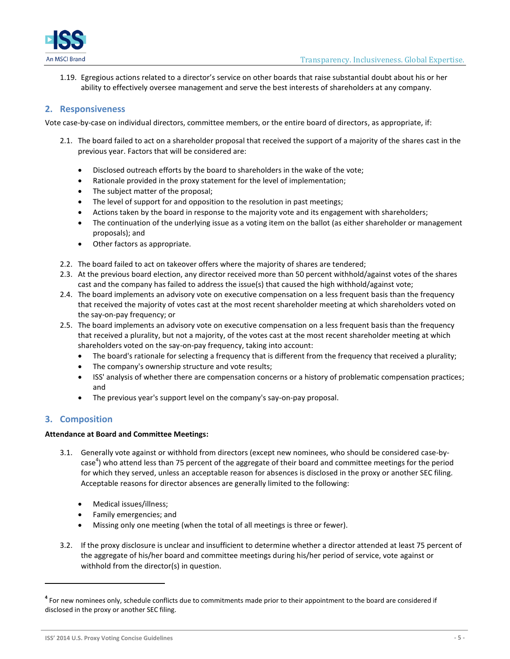

1.19. Egregious actions related to a director's service on other boards that raise substantial doubt about his or her ability to effectively oversee management and serve the best interests of shareholders at any company.

#### **2. Responsiveness**

Vote case-by-case on individual directors, committee members, or the entire board of directors, as appropriate, if:

- 2.1. The board failed to act on a shareholder proposal that received the support of a majority of the shares cast in the previous year. Factors that will be considered are:
	- Disclosed outreach efforts by the board to shareholders in the wake of the vote;
	- Rationale provided in the proxy statement for the level of implementation;
	- The subject matter of the proposal;
	- The level of support for and opposition to the resolution in past meetings;
	- Actions taken by the board in response to the majority vote and its engagement with shareholders;
	- The continuation of the underlying issue as a voting item on the ballot (as either shareholder or management proposals); and
	- Other factors as appropriate.
- 2.2. The board failed to act on takeover offers where the majority of shares are tendered;
- 2.3. At the previous board election, any director received more than 50 percent withhold/against votes of the shares cast and the company has failed to address the issue(s) that caused the high withhold/against vote;
- 2.4. The board implements an advisory vote on executive compensation on a less frequent basis than the frequency that received the majority of votes cast at the most recent shareholder meeting at which shareholders voted on the say-on-pay frequency; or
- 2.5. The board implements an advisory vote on executive compensation on a less frequent basis than the frequency that received a plurality, but not a majority, of the votes cast at the most recent shareholder meeting at which shareholders voted on the say-on-pay frequency, taking into account:
	- The board's rationale for selecting a frequency that is different from the frequency that received a plurality;
	- The company's ownership structure and vote results;
	- ISS' analysis of whether there are compensation concerns or a history of problematic compensation practices; and
	- The previous year's support level on the company's say-on-pay proposal.

#### **3. Composition**

 $\overline{a}$ 

#### **Attendance at Board and Committee Meetings:**

- 3.1. Generally vote against or withhold from directors (except new nominees, who should be considered case-bycase<sup>4</sup>) who attend less than 75 percent of the aggregate of their board and committee meetings for the period for which they served, unless an acceptable reason for absences is disclosed in the proxy or another SEC filing. Acceptable reasons for director absences are generally limited to the following:
	- Medical issues/illness;
	- Family emergencies; and
	- Missing only one meeting (when the total of all meetings is three or fewer).
- 3.2. If the proxy disclosure is unclear and insufficient to determine whether a director attended at least 75 percent of the aggregate of his/her board and committee meetings during his/her period of service, vote against or withhold from the director(s) in question.

**ISS' 2014 U.S. Proxy Voting Concise Guidelines - 5 -**

**<sup>4</sup>** For new nominees only, schedule conflicts due to commitments made prior to their appointment to the board are considered if disclosed in the proxy or another SEC filing.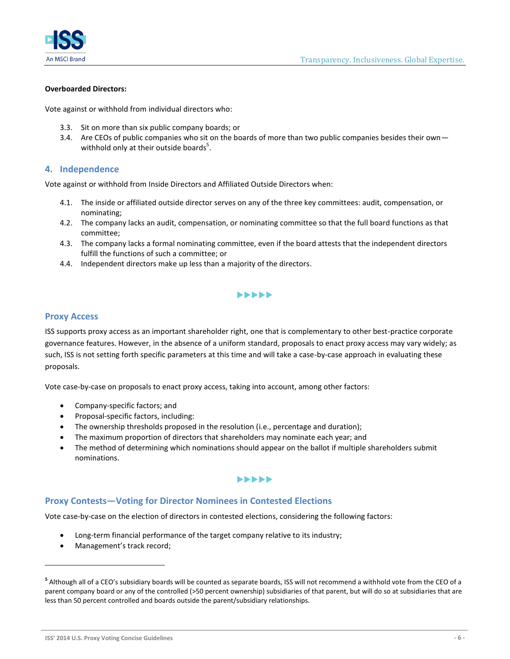

#### **Overboarded Directors:**

Vote against or withhold from individual directors who:

- 3.3. Sit on more than six public company boards; or
- 3.4. Are CEOs of public companies who sit on the boards of more than two public companies besides their own withhold only at their outside boards<sup>5</sup>.

#### **4. Independence**

Vote against or withhold from Inside Directors and Affiliated Outside Directors when:

- 4.1. The inside or affiliated outside director serves on any of the three key committees: audit, compensation, or nominating;
- 4.2. The company lacks an audit, compensation, or nominating committee so that the full board functions as that committee;
- 4.3. The company lacks a formal nominating committee, even if the board attests that the independent directors fulfill the functions of such a committee; or
- 4.4. Independent directors make up less than a majority of the directors.

### $\blacktriangleright\blacktriangleright\blacktriangleright\blacktriangleright\blacktriangleright$

#### **Proxy Access**

ISS supports proxy access as an important shareholder right, one that is complementary to other best-practice corporate governance features. However, in the absence of a uniform standard, proposals to enact proxy access may vary widely; as such, ISS is not setting forth specific parameters at this time and will take a case-by-case approach in evaluating these proposals.

Vote case-by-case on proposals to enact proxy access, taking into account, among other factors:

- Company-specific factors; and
- Proposal-specific factors, including:
- The ownership thresholds proposed in the resolution (i.e., percentage and duration);
- The maximum proportion of directors that shareholders may nominate each year; and
- The method of determining which nominations should appear on the ballot if multiple shareholders submit nominations.

#### $\blacktriangleright\blacktriangleright\blacktriangleright\blacktriangleright\blacktriangleright$

#### **Proxy Contests—Voting for Director Nominees in Contested Elections**

Vote case-by-case on the election of directors in contested elections, considering the following factors:

- Long-term financial performance of the target company relative to its industry;
- Management's track record;

<sup>&</sup>lt;sup>5</sup> Although all of a CEO's subsidiary boards will be counted as separate boards, ISS will not recommend a withhold vote from the CEO of a parent company board or any of the controlled (>50 percent ownership) subsidiaries of that parent, but will do so at subsidiaries that are less than 50 percent controlled and boards outside the parent/subsidiary relationships.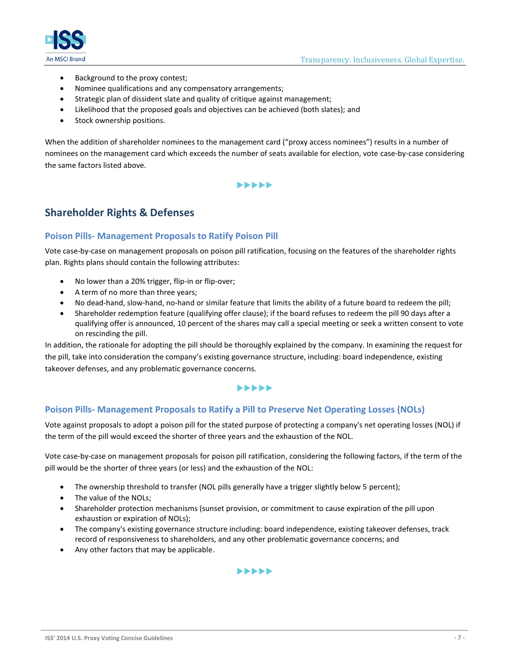



- Background to the proxy contest;
- Nominee qualifications and any compensatory arrangements;
- Strategic plan of dissident slate and quality of critique against management;
- Likelihood that the proposed goals and objectives can be achieved (both slates); and
- Stock ownership positions.

When the addition of shareholder nominees to the management card ("proxy access nominees") results in a number of nominees on the management card which exceeds the number of seats available for election, vote case-by-case considering the same factors listed above.

#### $\blacktriangleright\blacktriangleright\blacktriangleright\blacktriangleright\blacktriangleright$

### **Shareholder Rights & Defenses**

#### **Poison Pills- Management Proposals to Ratify Poison Pill**

Vote case-by-case on management proposals on poison pill ratification, focusing on the features of the shareholder rights plan. Rights plans should contain the following attributes:

- No lower than a 20% trigger, flip-in or flip-over;
- A term of no more than three years;
- No dead-hand, slow-hand, no-hand or similar feature that limits the ability of a future board to redeem the pill;
- Shareholder redemption feature (qualifying offer clause); if the board refuses to redeem the pill 90 days after a qualifying offer is announced, 10 percent of the shares may call a special meeting or seek a written consent to vote on rescinding the pill.

In addition, the rationale for adopting the pill should be thoroughly explained by the company. In examining the request for the pill, take into consideration the company's existing governance structure, including: board independence, existing takeover defenses, and any problematic governance concerns.

#### $\blacktriangleright\blacktriangleright\blacktriangleright\blacktriangleright\blacktriangleright$

#### **Poison Pills- Management Proposals to Ratify a Pill to Preserve Net Operating Losses (NOLs)**

Vote against proposals to adopt a poison pill for the stated purpose of protecting a company's net operating losses (NOL) if the term of the pill would exceed the shorter of three years and the exhaustion of the NOL.

Vote case-by-case on management proposals for poison pill ratification, considering the following factors, if the term of the pill would be the shorter of three years (or less) and the exhaustion of the NOL:

- The ownership threshold to transfer (NOL pills generally have a trigger slightly below 5 percent);
- The value of the NOLs;
- Shareholder protection mechanisms (sunset provision, or commitment to cause expiration of the pill upon exhaustion or expiration of NOLs);
- The company's existing governance structure including: board independence, existing takeover defenses, track record of responsiveness to shareholders, and any other problematic governance concerns; and
- Any other factors that may be applicable.

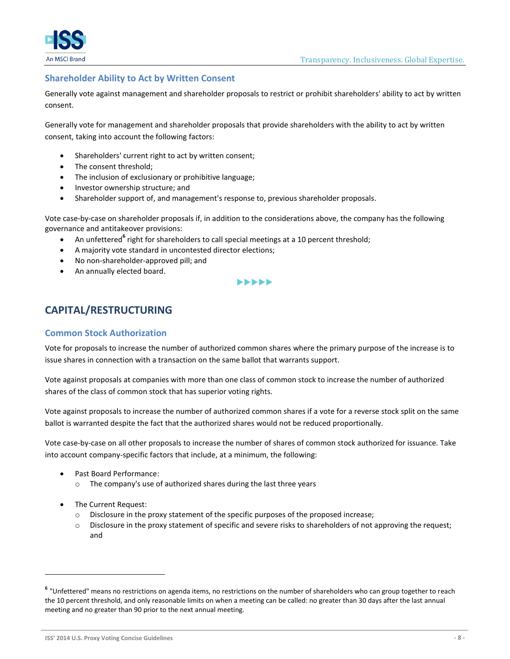



### **Shareholder Ability to Act by Written Consent**

Generally vote against management and shareholder proposals to restrict or prohibit shareholders' ability to act by written consent.

Generally vote for management and shareholder proposals that provide shareholders with the ability to act by written consent, taking into account the following factors:

- Shareholders' current right to act by written consent;
- The consent threshold;
- The inclusion of exclusionary or prohibitive language;
- Investor ownership structure; and
- Shareholder support of, and management's response to, previous shareholder proposals.

Vote case-by-case on shareholder proposals if, in addition to the considerations above, the company has the following governance and antitakeover provisions:

- **•** An unfettered<sup>6</sup> right for shareholders to call special meetings at a 10 percent threshold;
- A majority vote standard in uncontested director elections;
- No non-shareholder-approved pill; and
- An annually elected board.

••••

### **CAPITAL/RESTRUCTURING**

#### **Common Stock Authorization**

Vote for proposals to increase the number of authorized common shares where the primary purpose of the increase is to issue shares in connection with a transaction on the same ballot that warrants support.

Vote against proposals at companies with more than one class of common stock to increase the number of authorized shares of the class of common stock that has superior voting rights.

Vote against proposals to increase the number of authorized common shares if a vote for a reverse stock split on the same ballot is warranted despite the fact that the authorized shares would not be reduced proportionally.

Vote case-by-case on all other proposals to increase the number of shares of common stock authorized for issuance. Take into account company-specific factors that include, at a minimum, the following:

- Past Board Performance:
	- o The company's use of authorized shares during the last three years
- The Current Request:

- $\circ$  Disclosure in the proxy statement of the specific purposes of the proposed increase;
- o Disclosure in the proxy statement of specific and severe risks to shareholders of not approving the request; and

**<sup>6</sup>** "Unfettered" means no restrictions on agenda items, no restrictions on the number of shareholders who can group together to reach the 10 percent threshold, and only reasonable limits on when a meeting can be called: no greater than 30 days after the last annual meeting and no greater than 90 prior to the next annual meeting.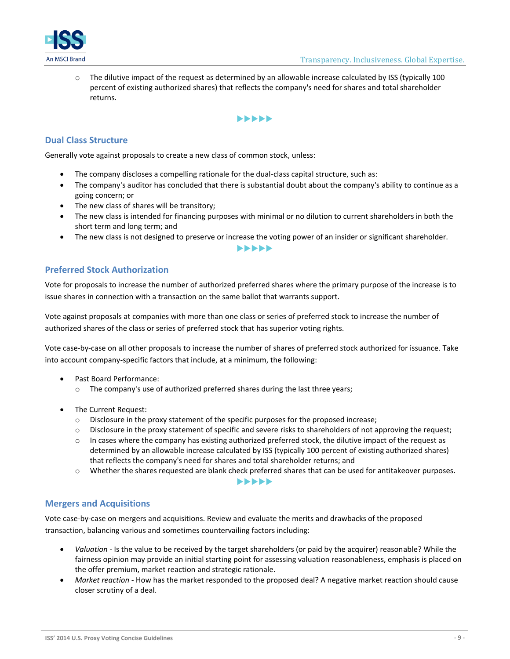

 $\circ$  The dilutive impact of the request as determined by an allowable increase calculated by ISS (typically 100 percent of existing authorized shares) that reflects the company's need for shares and total shareholder returns.

#### $\blacktriangleright\blacktriangleright\blacktriangleright\blacktriangleright\blacktriangleright$

#### **Dual Class Structure**

Generally vote against proposals to create a new class of common stock, unless:

- The company discloses a compelling rationale for the dual-class capital structure, such as:
- The company's auditor has concluded that there is substantial doubt about the company's ability to continue as a going concern; or
- The new class of shares will be transitory;
- The new class is intended for financing purposes with minimal or no dilution to current shareholders in both the short term and long term; and
- The new class is not designed to preserve or increase the voting power of an insider or significant shareholder. **>>>>>>**

### **Preferred Stock Authorization**

Vote for proposals to increase the number of authorized preferred shares where the primary purpose of the increase is to issue shares in connection with a transaction on the same ballot that warrants support.

Vote against proposals at companies with more than one class or series of preferred stock to increase the number of authorized shares of the class or series of preferred stock that has superior voting rights.

Vote case-by-case on all other proposals to increase the number of shares of preferred stock authorized for issuance. Take into account company-specific factors that include, at a minimum, the following:

- Past Board Performance:
	- o The company's use of authorized preferred shares during the last three years;
- The Current Request:
	- o Disclosure in the proxy statement of the specific purposes for the proposed increase;
	- o Disclosure in the proxy statement of specific and severe risks to shareholders of not approving the request;
	- $\circ$  In cases where the company has existing authorized preferred stock, the dilutive impact of the request as determined by an allowable increase calculated by ISS (typically 100 percent of existing authorized shares) that reflects the company's need for shares and total shareholder returns; and
	- o Whether the shares requested are blank check preferred shares that can be used for antitakeover purposes.

#### **>>>>>>**

#### **Mergers and Acquisitions**

Vote case-by-case on mergers and acquisitions. Review and evaluate the merits and drawbacks of the proposed transaction, balancing various and sometimes countervailing factors including:

- *Valuation* Is the value to be received by the target shareholders (or paid by the acquirer) reasonable? While the fairness opinion may provide an initial starting point for assessing valuation reasonableness, emphasis is placed on the offer premium, market reaction and strategic rationale.
- *Market reaction* How has the market responded to the proposed deal? A negative market reaction should cause closer scrutiny of a deal.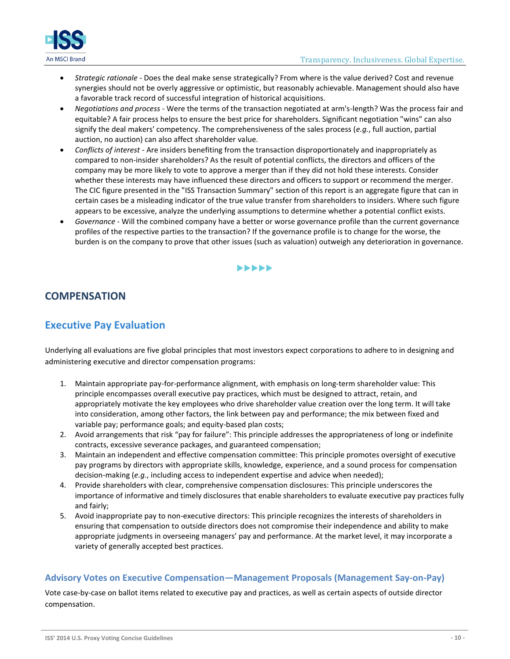

- *Strategic rationale* Does the deal make sense strategically? From where is the value derived? Cost and revenue synergies should not be overly aggressive or optimistic, but reasonably achievable. Management should also have a favorable track record of successful integration of historical acquisitions.
- *Negotiations and process* Were the terms of the transaction negotiated at arm's-length? Was the process fair and equitable? A fair process helps to ensure the best price for shareholders. Significant negotiation "wins" can also signify the deal makers' competency. The comprehensiveness of the sales process (*e.g.*, full auction, partial auction, no auction) can also affect shareholder value.
- *Conflicts of interest* Are insiders benefiting from the transaction disproportionately and inappropriately as compared to non-insider shareholders? As the result of potential conflicts, the directors and officers of the company may be more likely to vote to approve a merger than if they did not hold these interests. Consider whether these interests may have influenced these directors and officers to support or recommend the merger. The CIC figure presented in the "ISS Transaction Summary" section of this report is an aggregate figure that can in certain cases be a misleading indicator of the true value transfer from shareholders to insiders. Where such figure appears to be excessive, analyze the underlying assumptions to determine whether a potential conflict exists.
- *Governance* Will the combined company have a better or worse governance profile than the current governance profiles of the respective parties to the transaction? If the governance profile is to change for the worse, the burden is on the company to prove that other issues (such as valuation) outweigh any deterioration in governance.

#### $\blacktriangleright\blacktriangleright\blacktriangleright\blacktriangleright\blacktriangleright$

### **COMPENSATION**

### **Executive Pay Evaluation**

Underlying all evaluations are five global principles that most investors expect corporations to adhere to in designing and administering executive and director compensation programs:

- 1. Maintain appropriate pay-for-performance alignment, with emphasis on long-term shareholder value: This principle encompasses overall executive pay practices, which must be designed to attract, retain, and appropriately motivate the key employees who drive shareholder value creation over the long term. It will take into consideration, among other factors, the link between pay and performance; the mix between fixed and variable pay; performance goals; and equity-based plan costs;
- 2. Avoid arrangements that risk "pay for failure": This principle addresses the appropriateness of long or indefinite contracts, excessive severance packages, and guaranteed compensation;
- 3. Maintain an independent and effective compensation committee: This principle promotes oversight of executive pay programs by directors with appropriate skills, knowledge, experience, and a sound process for compensation decision-making (*e.g.*, including access to independent expertise and advice when needed);
- 4. Provide shareholders with clear, comprehensive compensation disclosures: This principle underscores the importance of informative and timely disclosures that enable shareholders to evaluate executive pay practices fully and fairly;
- 5. Avoid inappropriate pay to non-executive directors: This principle recognizes the interests of shareholders in ensuring that compensation to outside directors does not compromise their independence and ability to make appropriate judgments in overseeing managers' pay and performance. At the market level, it may incorporate a variety of generally accepted best practices.

#### **Advisory Votes on Executive Compensation—Management Proposals (Management Say-on-Pay)**

Vote case-by-case on ballot items related to executive pay and practices, as well as certain aspects of outside director compensation.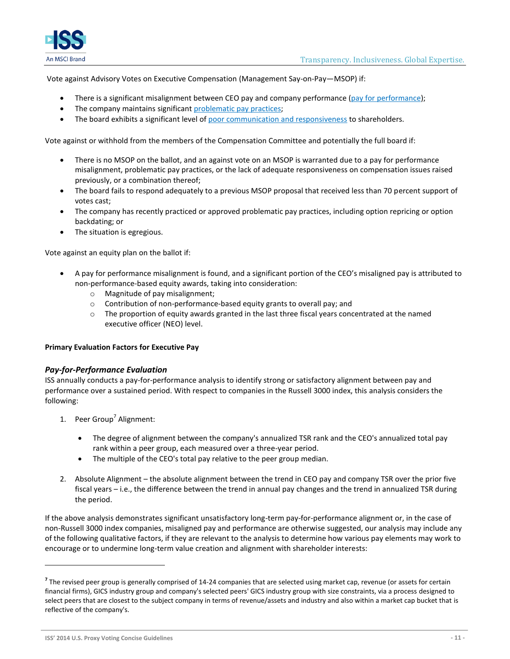

Vote against Advisory Votes on Executive Compensation (Management Say-on-Pay—MSOP) if:

- There is a significant misalignment between CEO pay and company performance [\(pay for performance\)](#page-10-0);
- The company maintains significant [problematic pay practices;](#page-11-0)
- The board exhibits a significant level of [poor communication and responsiveness](#page-12-0) to shareholders.

Vote against or withhold from the members of the Compensation Committee and potentially the full board if:

- There is no MSOP on the ballot, and an against vote on an MSOP is warranted due to a pay for performance misalignment, problematic pay practices, or the lack of adequate responsiveness on compensation issues raised previously, or a combination thereof;
- The board fails to respond adequately to a previous MSOP proposal that received less than 70 percent support of votes cast;
- The company has recently practiced or approved problematic pay practices, including option repricing or option backdating; or
- The situation is egregious.

Vote against an equity plan on the ballot if:

- A pay for performance misalignment is found, and a significant portion of the CEO's misaligned pay is attributed to non-performance-based equity awards, taking into consideration:
	- o Magnitude of pay misalignment;
	- o Contribution of non-performance-based equity grants to overall pay; and
	- $\circ$  The proportion of equity awards granted in the last three fiscal years concentrated at the named executive officer (NEO) level.

#### **Primary Evaluation Factors for Executive Pay**

#### <span id="page-10-0"></span>*Pay-for-Performance Evaluation*

ISS annually conducts a pay-for-performance analysis to identify strong or satisfactory alignment between pay and performance over a sustained period. With respect to companies in the Russell 3000 index, this analysis considers the following:

- 1. Peer Group<sup>7</sup> Alignment:
	- The degree of alignment between the company's annualized TSR rank and the CEO's annualized total pay rank within a peer group, each measured over a three-year period.
	- The multiple of the CEO's total pay relative to the peer group median.
- 2. Absolute Alignment the absolute alignment between the trend in CEO pay and company TSR over the prior five fiscal years – i.e., the difference between the trend in annual pay changes and the trend in annualized TSR during the period.

If the above analysis demonstrates significant unsatisfactory long-term pay-for-performance alignment or, in the case of non-Russell 3000 index companies, misaligned pay and performance are otherwise suggested, our analysis may include any of the following qualitative factors, if they are relevant to the analysis to determine how various pay elements may work to encourage or to undermine long-term value creation and alignment with shareholder interests:

<sup>&</sup>lt;sup>7</sup> The revised peer group is generally comprised of 14-24 companies that are selected using market cap, revenue (or assets for certain financial firms), GICS industry group and company's selected peers' GICS industry group with size constraints, via a process designed to select peers that are closest to the subject company in terms of revenue/assets and industry and also within a market cap bucket that is reflective of the company's.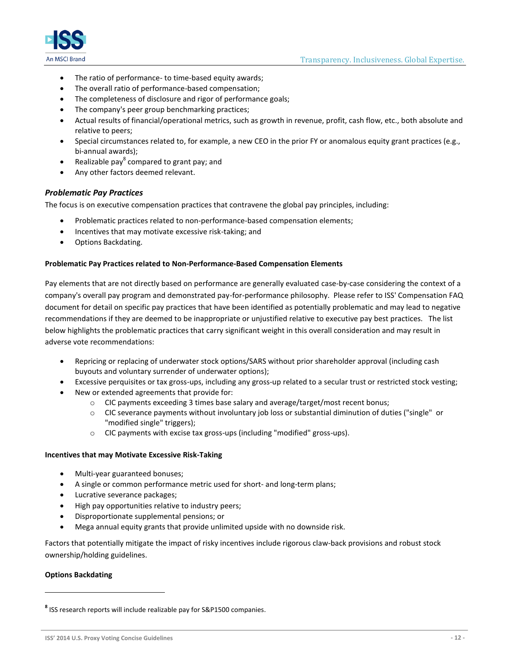

- The ratio of performance- to time-based equity awards;
- The overall ratio of performance-based compensation;
- The completeness of disclosure and rigor of performance goals;
- The company's peer group benchmarking practices;
- Actual results of financial/operational metrics, such as growth in revenue, profit, cash flow, etc., both absolute and relative to peers;
- Special circumstances related to, for example, a new CEO in the prior FY or anomalous equity grant practices (e.g., bi-annual awards);
- Realizable pay<sup>8</sup> compared to grant pay; and
- Any other factors deemed relevant.

#### <span id="page-11-0"></span>*Problematic Pay Practices*

The focus is on executive compensation practices that contravene the global pay principles, including:

- Problematic practices related to non-performance-based compensation elements;
- Incentives that may motivate excessive risk-taking; and
- Options Backdating.

#### **Problematic Pay Practices related to Non-Performance-Based Compensation Elements**

Pay elements that are not directly based on performance are generally evaluated case-by-case considering the context of a company's overall pay program and demonstrated pay-for-performance philosophy. Please refer to ISS' Compensation FAQ document for detail on specific pay practices that have been identified as potentially problematic and may lead to negative recommendations if they are deemed to be inappropriate or unjustified relative to executive pay best practices. The list below highlights the problematic practices that carry significant weight in this overall consideration and may result in adverse vote recommendations:

- Repricing or replacing of underwater stock options/SARS without prior shareholder approval (including cash buyouts and voluntary surrender of underwater options);
- Excessive perquisites or tax gross-ups, including any gross-up related to a secular trust or restricted stock vesting;
- New or extended agreements that provide for:
	- o CIC payments exceeding 3 times base salary and average/target/most recent bonus;
	- o CIC severance payments without involuntary job loss or substantial diminution of duties ("single" or "modified single" triggers);
	- o CIC payments with excise tax gross-ups (including "modified" gross-ups).

#### **Incentives that may Motivate Excessive Risk-Taking**

- Multi-year guaranteed bonuses;
- A single or common performance metric used for short- and long-term plans;
- Lucrative severance packages;
- High pay opportunities relative to industry peers;
- Disproportionate supplemental pensions; or
- Mega annual equity grants that provide unlimited upside with no downside risk.

Factors that potentially mitigate the impact of risky incentives include rigorous claw-back provisions and robust stock ownership/holding guidelines.

#### **Options Backdating**

**<sup>8</sup>** ISS research reports will include realizable pay for S&P1500 companies.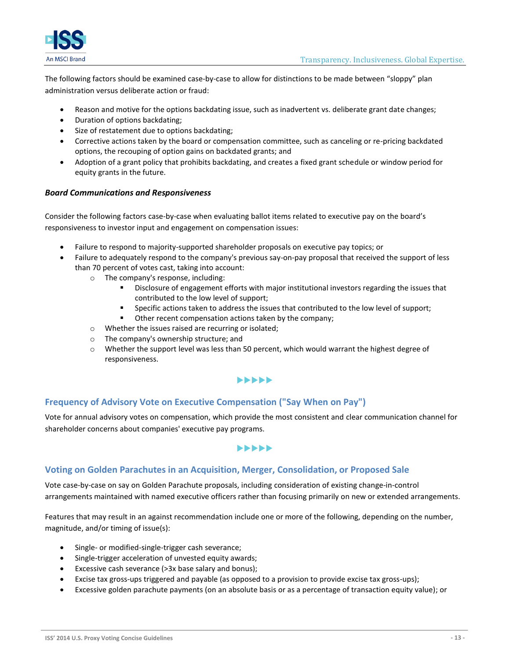

The following factors should be examined case-by-case to allow for distinctions to be made between "sloppy" plan administration versus deliberate action or fraud:

- Reason and motive for the options backdating issue, such as inadvertent vs. deliberate grant date changes;
- Duration of options backdating;
- Size of restatement due to options backdating;
- Corrective actions taken by the board or compensation committee, such as canceling or re-pricing backdated options, the recouping of option gains on backdated grants; and
- Adoption of a grant policy that prohibits backdating, and creates a fixed grant schedule or window period for equity grants in the future.

#### <span id="page-12-0"></span>*Board Communications and Responsiveness*

Consider the following factors case-by-case when evaluating ballot items related to executive pay on the board's responsiveness to investor input and engagement on compensation issues:

- Failure to respond to majority-supported shareholder proposals on executive pay topics; or
- Failure to adequately respond to the company's previous say-on-pay proposal that received the support of less than 70 percent of votes cast, taking into account:
	- o The company's response, including:
		- Disclosure of engagement efforts with major institutional investors regarding the issues that contributed to the low level of support;
		- Specific actions taken to address the issues that contributed to the low level of support;
		- Other recent compensation actions taken by the company;
	- o Whether the issues raised are recurring or isolated;
	- o The company's ownership structure; and
	- $\circ$  Whether the support level was less than 50 percent, which would warrant the highest degree of responsiveness.

#### $\blacktriangleright\blacktriangleright\blacktriangleright\blacktriangleright\blacktriangleright$

#### **Frequency of Advisory Vote on Executive Compensation ("Say When on Pay")**

Vote for annual advisory votes on compensation, which provide the most consistent and clear communication channel for shareholder concerns about companies' executive pay programs.

#### $\blacktriangleright\blacktriangleright\blacktriangleright\blacktriangleright\blacktriangleright$

#### **Voting on Golden Parachutes in an Acquisition, Merger, Consolidation, or Proposed Sale**

Vote case-by-case on say on Golden Parachute proposals, including consideration of existing change-in-control arrangements maintained with named executive officers rather than focusing primarily on new or extended arrangements.

Features that may result in an against recommendation include one or more of the following, depending on the number, magnitude, and/or timing of issue(s):

- Single- or modified-single-trigger cash severance;
- Single-trigger acceleration of unvested equity awards;
- Excessive cash severance (>3x base salary and bonus);
- Excise tax gross-ups triggered and payable (as opposed to a provision to provide excise tax gross-ups);
- Excessive golden parachute payments (on an absolute basis or as a percentage of transaction equity value); or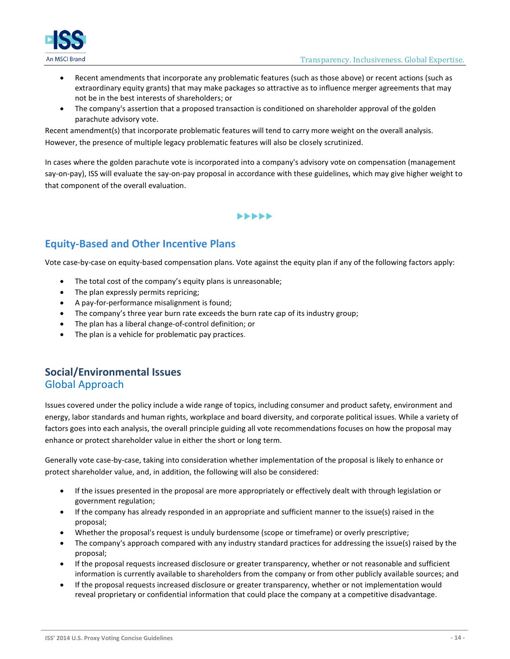

- Recent amendments that incorporate any problematic features (such as those above) or recent actions (such as extraordinary equity grants) that may make packages so attractive as to influence merger agreements that may not be in the best interests of shareholders; or
- The company's assertion that a proposed transaction is conditioned on shareholder approval of the golden parachute advisory vote.

Recent amendment(s) that incorporate problematic features will tend to carry more weight on the overall analysis. However, the presence of multiple legacy problematic features will also be closely scrutinized.

In cases where the golden parachute vote is incorporated into a company's advisory vote on compensation (management say-on-pay), ISS will evaluate the say-on-pay proposal in accordance with these guidelines, which may give higher weight to that component of the overall evaluation.

### **>>>>>**

### **Equity-Based and Other Incentive Plans**

Vote case-by-case on equity-based compensation plans. Vote against the equity plan if any of the following factors apply:

- The total cost of the company's equity plans is unreasonable;
- The plan expressly permits repricing;
- A pay-for-performance misalignment is found;
- The company's three year burn rate exceeds the burn rate cap of its industry group;
- The plan has a liberal change-of-control definition; or
- The plan is a vehicle for problematic pay practices.

### **Social/Environmental Issues** Global Approach

Issues covered under the policy include a wide range of topics, including consumer and product safety, environment and energy, labor standards and human rights, workplace and board diversity, and corporate political issues. While a variety of factors goes into each analysis, the overall principle guiding all vote recommendations focuses on how the proposal may enhance or protect shareholder value in either the short or long term.

Generally vote case-by-case, taking into consideration whether implementation of the proposal is likely to enhance or protect shareholder value, and, in addition, the following will also be considered:

- If the issues presented in the proposal are more appropriately or effectively dealt with through legislation or government regulation;
- If the company has already responded in an appropriate and sufficient manner to the issue(s) raised in the proposal;
- Whether the proposal's request is unduly burdensome (scope or timeframe) or overly prescriptive;
- The company's approach compared with any industry standard practices for addressing the issue(s) raised by the proposal;
- If the proposal requests increased disclosure or greater transparency, whether or not reasonable and sufficient information is currently available to shareholders from the company or from other publicly available sources; and
- If the proposal requests increased disclosure or greater transparency, whether or not implementation would reveal proprietary or confidential information that could place the company at a competitive disadvantage.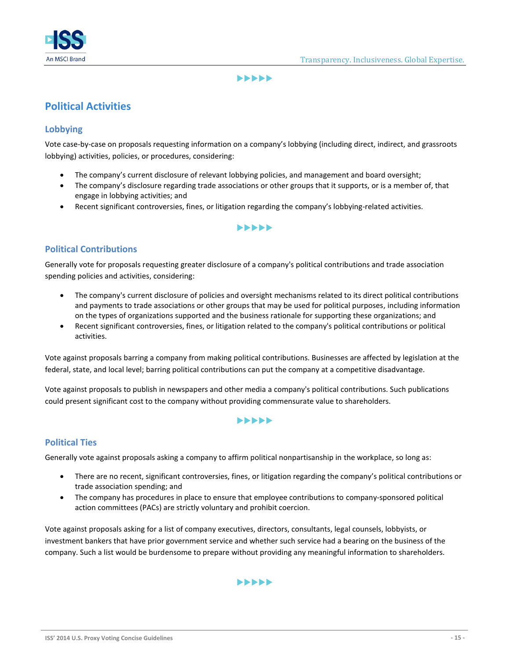

#### **>>>>>>**

### **Political Activities**

### **Lobbying**

Vote case-by-case on proposals requesting information on a company's lobbying (including direct, indirect, and grassroots lobbying) activities, policies, or procedures, considering:

- The company's current disclosure of relevant lobbying policies, and management and board oversight;
- The company's disclosure regarding trade associations or other groups that it supports, or is a member of, that engage in lobbying activities; and
- Recent significant controversies, fines, or litigation regarding the company's lobbying-related activities.

#### $\blacktriangleright\blacktriangleright\blacktriangleright\blacktriangleright\blacktriangleright$

### **Political Contributions**

Generally vote for proposals requesting greater disclosure of a company's political contributions and trade association spending policies and activities, considering:

- The company's current disclosure of policies and oversight mechanisms related to its direct political contributions and payments to trade associations or other groups that may be used for political purposes, including information on the types of organizations supported and the business rationale for supporting these organizations; and
- Recent significant controversies, fines, or litigation related to the company's political contributions or political activities.

Vote against proposals barring a company from making political contributions. Businesses are affected by legislation at the federal, state, and local level; barring political contributions can put the company at a competitive disadvantage.

Vote against proposals to publish in newspapers and other media a company's political contributions. Such publications could present significant cost to the company without providing commensurate value to shareholders.

#### $\blacktriangleright$

### **Political Ties**

Generally vote against proposals asking a company to affirm political nonpartisanship in the workplace, so long as:

- There are no recent, significant controversies, fines, or litigation regarding the company's political contributions or trade association spending; and
- The company has procedures in place to ensure that employee contributions to company-sponsored political action committees (PACs) are strictly voluntary and prohibit coercion.

Vote against proposals asking for a list of company executives, directors, consultants, legal counsels, lobbyists, or investment bankers that have prior government service and whether such service had a bearing on the business of the company. Such a list would be burdensome to prepare without providing any meaningful information to shareholders.